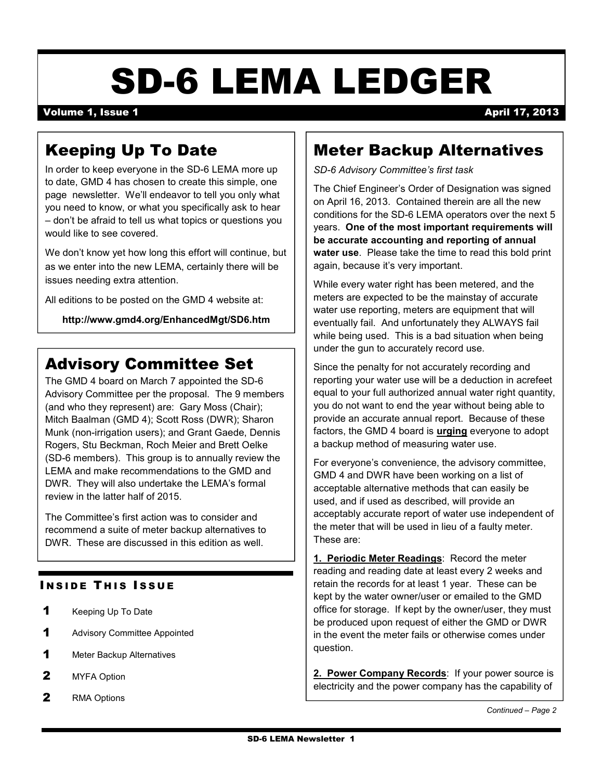# SD-6 LEMA LEDGER

#### Volume 1, Issue 1 April 17, 2013

## Keeping Up To Date

In order to keep everyone in the SD-6 LEMA more up to date, GMD 4 has chosen to create this simple, one page newsletter. We'll endeavor to tell you only what you need to know, or what you specifically ask to hear – don't be afraid to tell us what topics or questions you would like to see covered.

We don't know yet how long this effort will continue, but as we enter into the new LEMA, certainly there will be issues needing extra attention.

All editions to be posted on the GMD 4 website at:

**http://www.gmd4.org/EnhancedMgt/SD6.htm** 

## Advisory Committee Set

The GMD 4 board on March 7 appointed the SD-6 Advisory Committee per the proposal. The 9 members (and who they represent) are: Gary Moss (Chair); Mitch Baalman (GMD 4); Scott Ross (DWR); Sharon Munk (non-irrigation users); and Grant Gaede, Dennis Rogers, Stu Beckman, Roch Meier and Brett Oelke (SD-6 members). This group is to annually review the LEMA and make recommendations to the GMD and DWR. They will also undertake the LEMA's formal review in the latter half of 2015.

The Committee's first action was to consider and recommend a suite of meter backup alternatives to DWR. These are discussed in this edition as well.

#### **INSIDE THIS ISSUE**

- 1 Keeping Up To Date
- 1 Advisory Committee Appointed
- 1 Meter Backup Alternatives
- 2 MYFA Option
- 2 RMA Options

#### Meter Backup Alternatives

*SD-6 Advisory Committee's first task* 

The Chief Engineer's Order of Designation was signed on April 16, 2013. Contained therein are all the new conditions for the SD-6 LEMA operators over the next 5 years. **One of the most important requirements will be accurate accounting and reporting of annual water use**. Please take the time to read this bold print again, because it's very important.

While every water right has been metered, and the meters are expected to be the mainstay of accurate water use reporting, meters are equipment that will eventually fail. And unfortunately they ALWAYS fail while being used. This is a bad situation when being under the gun to accurately record use.

Since the penalty for not accurately recording and reporting your water use will be a deduction in acrefeet equal to your full authorized annual water right quantity, you do not want to end the year without being able to provide an accurate annual report. Because of these factors, the GMD 4 board is **urging** everyone to adopt a backup method of measuring water use.

For everyone's convenience, the advisory committee, GMD 4 and DWR have been working on a list of acceptable alternative methods that can easily be used, and if used as described, will provide an acceptably accurate report of water use independent of the meter that will be used in lieu of a faulty meter. These are:

**1. Periodic Meter Readings**: Record the meter reading and reading date at least every 2 weeks and retain the records for at least 1 year. These can be kept by the water owner/user or emailed to the GMD office for storage. If kept by the owner/user, they must be produced upon request of either the GMD or DWR in the event the meter fails or otherwise comes under question.

**2. Power Company Records**: If your power source is electricity and the power company has the capability of